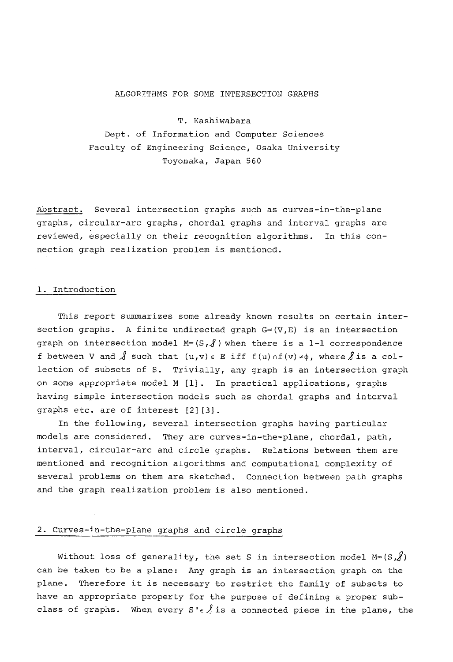## ALGORITHMS FOR SOME INTERSECTION GRAPHS

T. Kashiwabara Dept. of Information and Computer Sciences Faculty of Engineering Science, Osaka University Toyonaka, Japan 560

Abstract. Several intersection graphs such as curves-in-the-plane graphs, circular-arc graphs, chordal graphs and interval graphs are reviewed, especially on their recognition algorithms. In this connection graph realization problem is mentioned.

### i. Introduction

This report summarizes some already known results on certain intersection graphs. A finite undirected graph  $G=(V,E)$  is an intersection graph on intersection model  $M = (S, \mathcal{J})$  when there is a 1-1 correspondence f between V and  $\beta$  such that  $(u,v) \in E$  iff  $f(u) \cap f(v) \neq \emptyset$ , where  $\beta$  is a collection of subsets of S. Trivially, any graph is an intersection graph on some appropriate model M [i]. In practical applications, graphs having simple intersection models such as chordal graphs and interval graphs etc. are of interest [2][3].

In the following, several intersection graphs having particular models are considered. They are curves-in-the-plane, chordal, path, interval, circular-arc and circie graphs. Relations between them are mentioned and recognition algorithms and computational complexity of several problems on them are sketched. Connection between path graphs and the graph realization problem is also mentioned.

# 2. Curves-in-the-plane graphs and circle graphs

Without loss of generality, the set S in intersection model  $M = (S, \mathcal{J})$ can be taken to be a plane: Any graph is an intersection graph on the plane. Therefore it is necessary to restrict the family of subsets to have an appropriate property for the purpose of defining a proper subclass of graphs. When every  $S' \in \hat{S}$  is a connected piece in the plane, the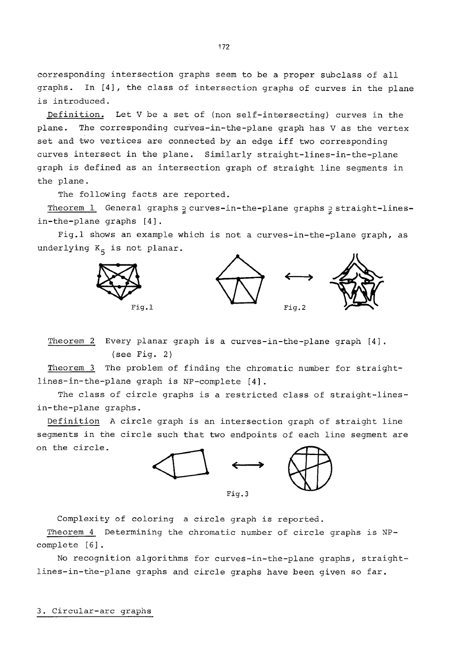corresponding intersection graphs seem to be a proper subclass of all graphs. In [4], the class of intersection graphs of curves in the plane is introduced.

Definition. Let V be a set of (non self-intersecting) curves in the plane. The corresponding curves-in-the-plane graph has V as the vertex set and two vertices are connected by an edge iff two corresponding curves intersect in the plane. Similarly straight-lines-in-the-plane graph is defined as an intersection graph of straight line segments in the plane.

The following facts are reported.

Theorem 1 General graphs = curves-in-the-plane graphs = straight-linesin-the-plane graphs [4].

Fig.l shows an example which is not a curves-in-the-plane graph, as underlying  $K_5$  is not planar.



Theorem 2 Every planar graph is a curves-in-the-plane graph [4]. (see Fig. 2)

Theorem 3 The problem of finding the chromatic number for straightlines-in-the-plane graph is NP-complete [4].

The class of circle graphs is a restricted class of straight-linesin-the-plane graphs.

Definition A circle graph is an intersection graph of straight line segments in the circle such that two endpoints of each line segment are on the circle.



Complexity of coloring a circle graph is reported.

Theorem 4 Determining the chromatic number of circle graphs is NPcomplete [6].

No recognition algorithms for curves-in-the-plane graphs, straightlines-in-the-plane graphs and circle graphs have been given so far.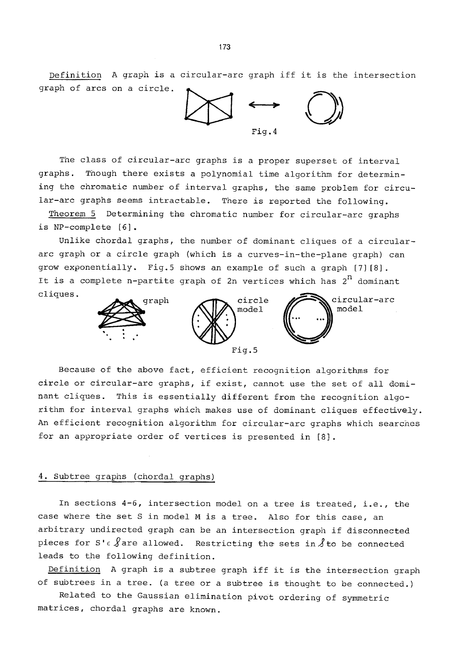Definition A graph is a circular-arc graph iff it is the intersection graph of arcs on a circle.



The class of circular-arc graphs is a proper superset of interval graphs, Though there exists a polynomial time algorithm for determining the chromatic number of interval graphs, the same problem for circular-arc graphs seems intractable. There is reported the following.

Theorem 5 Determining the chromatic number for circular-arc graphs is NP-complete [6].

Unlike chordal graphs, the number of dominant cliques of a circulararc graph or a circle graph (which is a curves-in-the-plane graph) can grow exponentially. Fig.5 shows an example of such a graph [7] [8]. It is a complete n-partite graph of 2n vertices which has  $2^n$  dominant cliques.



Because of the above fact, efficient recognition algorithms for circle or circular-arc graphs, if exist, cannot use the set of all dominant cliques. This is essentially different from the recognition algorithm for interval graphs which makes use of dominant cliques effectively. An efficient recognition algorithm for circular-arc graphs which searches for an appropriate order of vertices is presented in [8].

## 4. Subtree graphs (chordal graphs)

In sections 4-6, intersection model on a tree is treated, i.e., the case where the set S in model M is a tree. Also for this case, an arbitrary undirected graph can be an intersection graph if disconnected pieces for S' $\epsilon$   $\oint$  are allowed. Restricting the sets in  $\oint$  to be connected leads to the following definition.

Definition A graph is a subtree graph iff it is the intersection graph of subtrees in a tree. (a tree or a subtree is thought to be connected.)

Related to the Gaussian elimination pivot ordering of symmetric matrices, chordal graphs are known.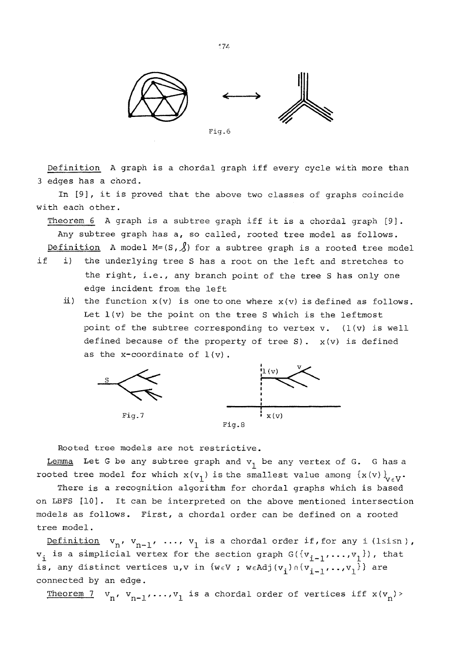

Fig.6

Definition A graph is a chordal graph iff every cycle with more than 3 edges has a chord.

In [9], it is proved that the above two classes of graphs coincide with each other.

Theorem 6 A graph is a subtree graph iff it is a chordal graph [9]. Any subtree graph has a, so called, rooted tree model as follows. Definition A model M=(S,  $\beta$ ) for a subtree graph is a rooted tree model

- if i) the underlying tree S has a root on the left and stretches to the right, i.e., any branch point of the tree S has only one edge incident from the left
	- ii) the function  $x(v)$  is one to one where  $x(v)$  is defined as follows. Let  $l(v)$  be the point on the tree S which is the leftmost point of the subtree corresponding to vertex  $v.$  (l(v) is well defined because of the property of tree S).  $x(v)$  is defined as the x-coordinate of  $1(v)$ .



Rooted tree models are not restrictive.

Lemma Let G be any subtree graph and  $v_1$  be any vertex of G. G has a rooted tree model for which  $x(y_1)$  is the smallest value among  $\{x(v)\}_{v\in V}$ .

There is a recognition algorithm for chordal graphs which is based on LBFS [i0]. It can be interpreted on the above mentioned intersection models as follows. First, a chordal order can be defined on a rooted tree model.

Definition  $v_n$ ,  $v_{n-1}$ , ...,  $v_1$  is a chordal order if, for any i (lsisn),  $v_i$  is a simplicial vertex for the section graph  $G({v_{i-1},...,v_1})$ , that is, any distinct vertices  $u,v$  in  $\{w \in V : w \in Adj(v_i) \cap \{v_{i-1},...,v_1\}\}$  are connected by an edge.

Theorem 7  $v_n$ ,  $v_{n-1}$ ,..., $v_1$  is a chordal order of vertices iff  $x(v_n)$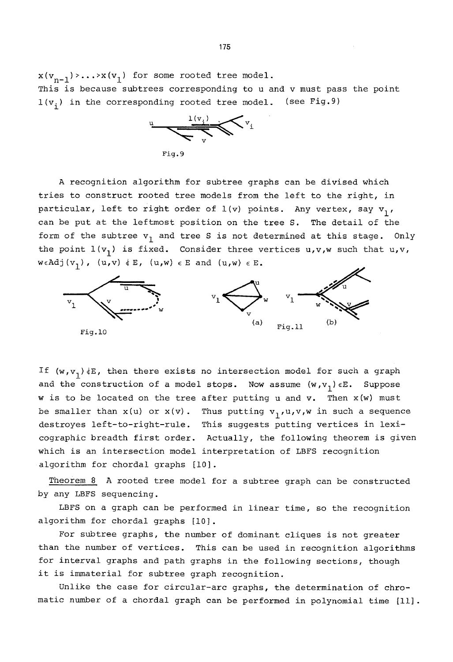$x(v_{n-1})$ >...> $x(v_1)$  for some rooted tree model. This is because subtrees corresponding to u and v must pass the point  $l(v_i)$  in the corresponding rooted tree model. (see Fig.9)



A recognition algorithm for subtree graphs can be divised which tries to construct rooted tree models from the left to the right, in particular, left to right order of  $1(v)$  points. Any vertex, say  $v_1$ , can be put at the leftmost position on the tree S. The detail of the form of the subtree  $v_1$  and tree S is not determined at this stage. Only the point  $l(v_1)$  is fixed. Consider three vertices  $u,v,w$  such that  $u,v$ ,  $\texttt{w}\in \texttt{Adj}\left(\texttt{v}_{\texttt{1}}\right)\texttt{, }\left(\texttt{u},\texttt{v}\right)\texttt{\ \& } \texttt{E}\texttt{, }\left(\texttt{u},\texttt{w}\right)\texttt{\ \& } \texttt{E}\texttt{.}$ 



If  $(w,v_1)$  (E, then there exists no intersection model for such a graph and the construction of a model stops. Now assume  $(w,v_1) \in E$ . Suppose w is to be located on the tree after putting u and v. Then x(w) must be smaller than  $x(u)$  or  $x(v)$ . Thus putting  $v_1, u, v, w$  in such a sequence destroyes left-to-right-rule. This suggests putting vertices in lexicographic breadth first order. Actually, the following theorem is given which is an intersection model interpretation of LBFS recognition algorithm for chordal graphs [I0].

Theorem 8 A rooted tree model for a subtree graph can be constructed by any LBFS sequencing.

LBFS on a graph can be performed in linear time, so the recognition algorithm for chordal graphs [i0].

For subtree graphs, the number of dominant cliques is not greater than the number of vertices. This can be used in recognition algorithms for interval graphs and path graphs in the following sections, though it is immaterial for subtree graph recognition.

Unlike the case for circular-arc graphs, the determination of chromatic number of a chordal graph can be performed in polynomial time [11].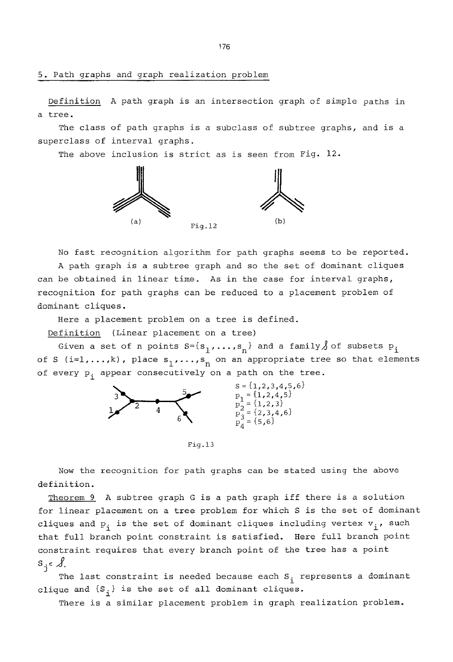5. Path graphs and graph realization problem

Definition A path graph is an intersection graph of simple paths in a tree.

The class of path graphs is a subclass of subtree graphs, and is a superclass of interval graphs.

The above inclusion is strict as is seen from Fig. 12.



No fast recognition algorithm for path graphs seems to be reported. A path graph is a subtree graph and so the set of dominant cliques can be obtained in linear time. As in the case for interval graphs, recognition for path graphs can be reduced to a placement problem of dominant cliques.

Here a placement problem on a tree is defined.

Definition (Linear placement on a tree)

Given a set of n points  $S=[s_1,\ldots,s_n]$  and a family  $\int$  of subsets  $P_i$ of S (i=1,...,k), place  $s_1$ ,...,s<sub>n</sub> on an appropriate tree so that elements of every  $p_i$  appear consecutively on a path on the tree.



Fig. 13

Now the recognition for path graphs can be stated using the above definition.

Theorem 9 A subtree graph G is a path graph iff there is a solution for linear placement on a tree problem for which S is the set of dominant cliques and  $P_i$  is the set of dominant cliques including vertex  $v_i$ , such that full branch point constraint is satisfied. Here full branch point constraint requires that every branch point of the tree has a point  $s_j \in \mathcal{A}$ .

The last constraint is needed because each  $\mathtt{S}_\mathtt{i}$  represents a dominant clique and  $\{S_i\}$  is the set of all dominant cliques.

There is a similar placement problem in graph realization problem.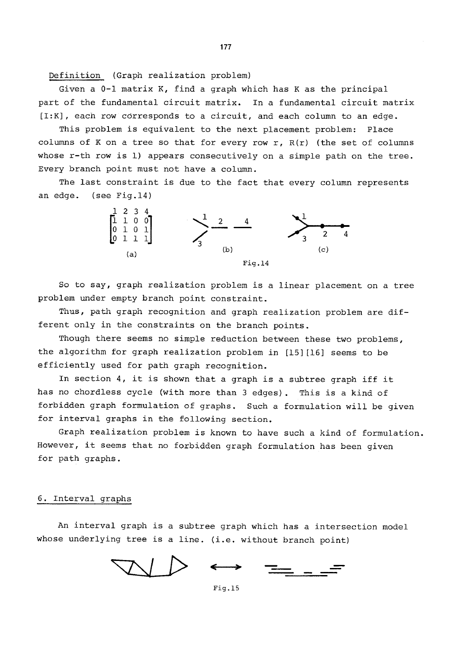Definition (Graph realization problem)

Given a 0-i matrix K, find a graph which has K as the principal part of the fundamental circuit matrix. In a fundamental circuit matrix [I:K], each row corresponds to a circuit, and each column to an edge.

This problem is equivalent to the next placement problem: Place columns of K on a tree so that for every row r,  $R(r)$  (the set of columns whose r-th row is I) appears consecutively on a simple path on the tree. Every branch point must not have a column.

The last constraint is due to the fact that every column represents an edge. (see Fig.14)



So to say, graph realization problem is a linear placement on a tree problem under empty branch point constraint.

Thus, path graph recognition and graph realization problem are different only in the constraints on the branch points.

Though there seems no simple reduction between these two problems, the algorithm for graph realization problem in [15][16] seems to be efficiently used for path graph recognition.

In section 4, it is shown that a graph is a subtree graph iff it has no chordless cycle (with more than 3 edges). This is a kind of forbidden graph formulation of graphs. Such a formulation will be given for interval graphs in the following section.

Graph realization problem is known to have such a kind of formulation. However, it seems that no forbidden graph formulation has been given for path graphs.

#### 6. Interval graphs

An interval graph is a subtree graph which has a intersection model whose underlying tree is a line. (i.e. without branch point)

Fig.15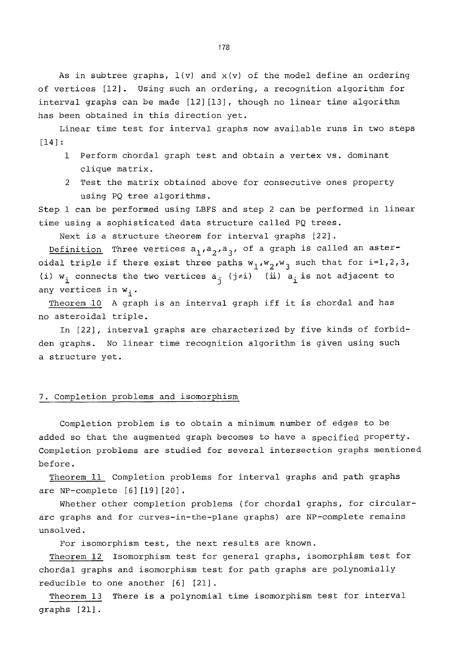As in subtree graphs,  $l(v)$  and  $x(v)$  of the model define an ordering of vertices [12]. Using such an ordering, a recognition algorithm for interval graphs can be made [12][13], though no linear time algorithm has been obtained in this direction yet.

Linear time test for interval graphs now available runs in two steps [14]:

- 1 Perform chordal graph test and obtain a vertex vs. dominant clique matrix.
- 2 Test the matrix obtained above for consecutive ones property using PQ tree algorithms.

Step 1 can be performed using LBFS and step 2 can be performed in linear time using a sophisticated data structure called PQ trees.

Next is a structure theorem for interval graphs [22].

Definition Three vertices  $a_1, a_2, a_3$ , of a graph is called an asteroidal triple if there exist three paths  $w_1, w_2, w_3$  such that for  $i=1,2,3$ , (i)  $w_i$  connects the two vertices  $a_i$  (j=i) (ii)  $a_i$  is not adjacent to any vertices in  $w_i$ .

Theorem i0 A graph is an interval graph iff it is chordal and has no asteroidal triple.

In [22], interval graphs are characterized by five kinds of forbidden graphs. No linear time recognition algorithm is given using such a structure yet.

## 7. Completion problems and isomorphism

Completion problem is to obtain a minimum number of edges to be added so that the augmented graph becomes to have a specified property. Completion problems are studied for several intersection graphs mentioned before.

Theorem 11 Completion problems for interval graphs and path graphs are NP-complete [6] [19] [20] .

Whether other completion problems (for chordal graphs, for circulararc graphs and for curves-in-the-plane graphs) are NP-complete remains unsolved.

For isomorphism test, the next results are known.

Theorem 12 Isomorphism test for general graphs, isomorphism test for chordal graphs and isomorphism test for path graphs are polynomially reducible to one another [6] [21].

Theorem 13 There is a polynomial time isomorphism test for interval graphs [21].

~78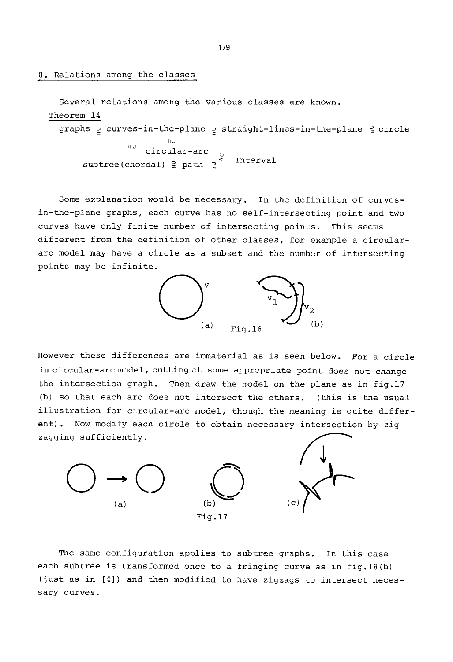8. Relations among the classes

```
Several relations among the various classes are known. 
Theorem 14 
  graphs = curves-in-the-plane = straight-lines-in-the-plane = circl
                           IIU 
                  \frac{10}{10} circular-arc
       subtree(chordal) \frac{5}{5} path \frac{5}{2} Interval
```
Some explanation would be necessary. In the definition of curvesin-the-plane graphs, each curve has no self-intersecting point and two curves have only finite number of intersecting points. This seems different from the definition of other classes, for example a circulararc model may have a circle as a subset and the number of intersecting points may be infinite.



However these differences are immaterial as is seen below. For a circle in circular-arc model, cutting at some appropriate point does not change the intersection graph. Then draw the model on the plane as in fig.17 (b) so that each arc does not intersect the others. (this is the usual illustration for circular-arc model, though the meaning is quite different). Now modify each circle to obtain necessary intersection by zigzagging sufficiently.



The same configuration applies to subtree graphs. In this case each subtree is transformed once to a fringing curve as in fig.18(b) (just as in [4]) and then modified to have zigzags to intersect necessary curves.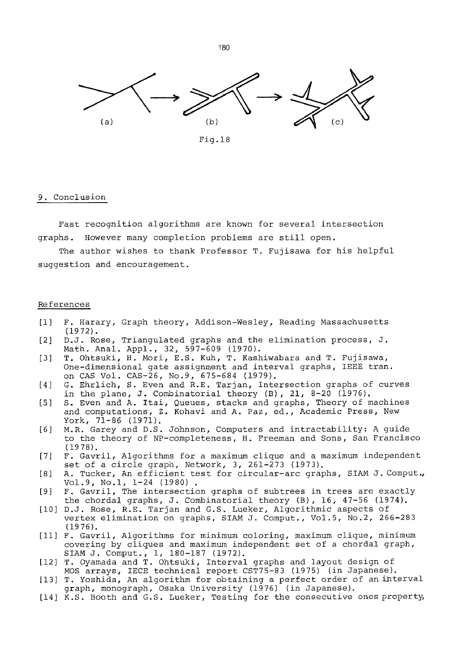

Fig.18

#### 9. Conclusion

Fast recognition algorithms are known for several intersection graphs. However many completion problems are still open.

The author wishes to thank Professor T. Fujisawa for his helpful suggestion and encouragement.

### References

- [i] F. Harary, Graph theory, Addison-Wesley, Reading Massachusetts (1972).
- [2] D.J. Rose, Triangulated graphs and the elimination process, J. Math. Anal. Appl., 32, 597-609 (1970).
- [3] T. Ohtsuki, H. Mori, E.S. Kuh, T. Kashiwabara and T. Fujisawa, One-dimensional gate assignment and interval graphs, IEEE tran. on CAS Vol. CAS-26, No.9, 675-684 (1979).
- [4] G. Ehrlich, S. Even and R.E. Tarjan, Intersection graphs of curves in the plane, J. Combinatorial theory (B), 21, 8-20 (1976).
- [5] S. Even and A. Itai, Queues, stacks and graphs, Theory of machines and computations, Z. Kohavi and A. Paz, ed., Academic Press, New York, 71-86 (1971).
- [6] M.R. Garey and D.S. Johnson, Computers and intractability: A guide to the theory of NP-completeness, H. Freeman and Sons, San Francisco (1978).
- [7] F. Gavril, Algorithms for a maximum clique and a maximum independent set of a circle graph, Network, 3, 261-273 (1973).
- [8] A. Tucker, An efficient test for circular-arc graphs, SIAM J. Comput., Vol.9, No.l, 1-24 (1980) .
- [9] F. Gavril, The intersection graphs of subtrees in trees are exactly the chordal graphs, J. Combinatorial theory (B), 16, 47-56 (1974).
- [i0] D.J. Rose, R.E. Tarjan and G.S. Lueker, Algorithmic aspects of vertex elimination on graphs, SIAM J. Comput., Vol.5, No.2, 266-283 (1976).
- [ii] F. Gavril, Algorithms for minimum coloring, maximum clique, minimum covering by cliques and maximum independent set of a chordal graph, SIAM J. Comput., i, 180-187 (1972).
- [12] T. Oyamada and T. Ohtsuki, Interval graphs and layout design of MOS arrays, IECE technical report CST75-83 (1975) (in Japanese).
- [13] T. Yoshida, An algorithm for obtaining a perfect order of an interval graph, monograph, Osaka University (1976) (in Japanese).
- [14] K.S. Booth and G.S. Lueker, Testing for the consecutive ones property,

"~80